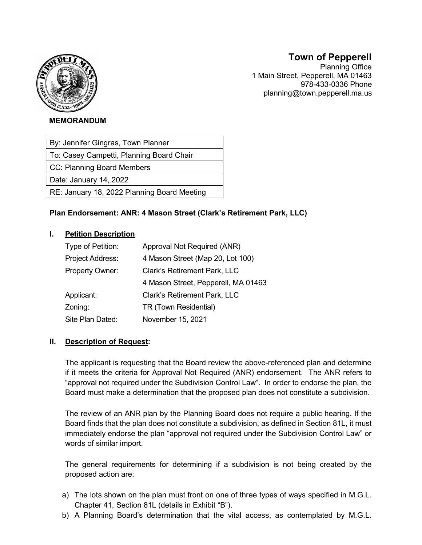

# Town of Pepperell

Planning Office 1 Main Street, Pepperell, MA 01463 978-433-0336 Phone planning@town.pepperell.ma.us

#### MEMORANDUM

By: Jennifer Gingras, Town Planner

To: Casey Campetti, Planning Board Chair

CC: Planning Board Members

Date: January 14, 2022

RE: January 18, 2022 Planning Board Meeting

# Plan Endorsement: ANR: 4 Mason Street (Clark's Retirement Park, LLC)

#### I. Petition Description

| Type of Petition: | Approval Not Required (ANR)         |  |  |
|-------------------|-------------------------------------|--|--|
| Project Address:  | 4 Mason Street (Map 20, Lot 100)    |  |  |
| Property Owner:   | <b>Clark's Retirement Park, LLC</b> |  |  |
|                   | 4 Mason Street, Pepperell, MA 01463 |  |  |
| Applicant:        | <b>Clark's Retirement Park, LLC</b> |  |  |
| Zoning:           | TR (Town Residential)               |  |  |
| Site Plan Dated:  | November 15, 2021                   |  |  |

#### II. Description of Request:

 The applicant is requesting that the Board review the above-referenced plan and determine if it meets the criteria for Approval Not Required (ANR) endorsement. The ANR refers to "approval not required under the Subdivision Control Law". In order to endorse the plan, the Board must make a determination that the proposed plan does not constitute a subdivision.

 The review of an ANR plan by the Planning Board does not require a public hearing. If the Board finds that the plan does not constitute a subdivision, as defined in Section 81L, it must immediately endorse the plan "approval not required under the Subdivision Control Law" or words of similar import.

 The general requirements for determining if a subdivision is not being created by the proposed action are:

- a) The lots shown on the plan must front on one of three types of ways specified in M.G.L. Chapter 41, Section 81L (details in Exhibit "B").
- b) A Planning Board's determination that the vital access, as contemplated by M.G.L.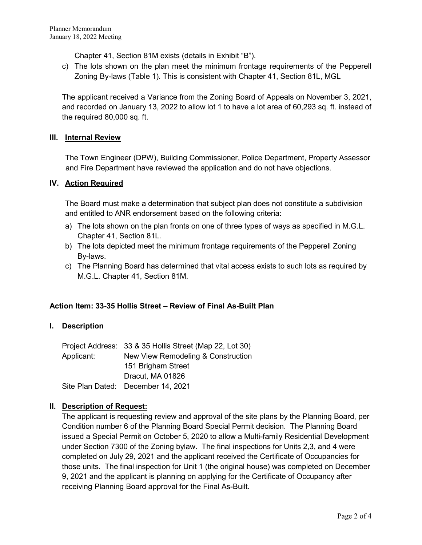Chapter 41, Section 81M exists (details in Exhibit "B").

c) The lots shown on the plan meet the minimum frontage requirements of the Pepperell Zoning By-laws (Table 1). This is consistent with Chapter 41, Section 81L, MGL

The applicant received a Variance from the Zoning Board of Appeals on November 3, 2021, and recorded on January 13, 2022 to allow lot 1 to have a lot area of 60,293 sq. ft. instead of the required 80,000 sq. ft.

#### III. Internal Review

The Town Engineer (DPW), Building Commissioner, Police Department, Property Assessor and Fire Department have reviewed the application and do not have objections.

#### IV. Action Required

 The Board must make a determination that subject plan does not constitute a subdivision and entitled to ANR endorsement based on the following criteria:

- a) The lots shown on the plan fronts on one of three types of ways as specified in M.G.L. Chapter 41, Section 81L.
- b) The lots depicted meet the minimum frontage requirements of the Pepperell Zoning By-laws.
- c) The Planning Board has determined that vital access exists to such lots as required by M.G.L. Chapter 41, Section 81M.

# Action Item: 33-35 Hollis Street – Review of Final As-Built Plan

# I. Description

Project Address: 33 & 35 Hollis Street (Map 22, Lot 30) Applicant: New View Remodeling & Construction 151 Brigham Street Dracut, MA 01826 Site Plan Dated: December 14, 2021

# II. Description of Request:

The applicant is requesting review and approval of the site plans by the Planning Board, per Condition number 6 of the Planning Board Special Permit decision. The Planning Board issued a Special Permit on October 5, 2020 to allow a Multi-family Residential Development under Section 7300 of the Zoning bylaw. The final inspections for Units 2,3, and 4 were completed on July 29, 2021 and the applicant received the Certificate of Occupancies for those units. The final inspection for Unit 1 (the original house) was completed on December 9, 2021 and the applicant is planning on applying for the Certificate of Occupancy after receiving Planning Board approval for the Final As-Built.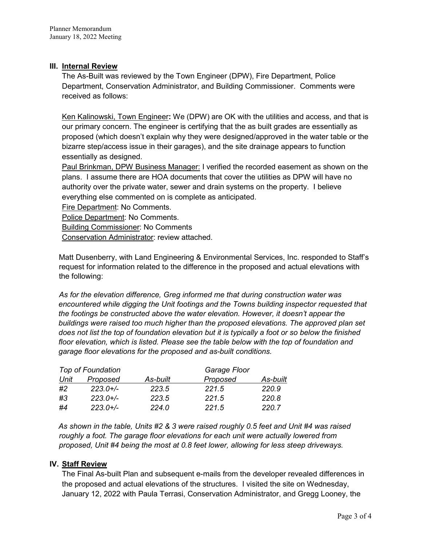# III. Internal Review

The As-Built was reviewed by the Town Engineer (DPW), Fire Department, Police Department, Conservation Administrator, and Building Commissioner. Comments were received as follows:

Ken Kalinowski, Town Engineer: We (DPW) are OK with the utilities and access, and that is our primary concern. The engineer is certifying that the as built grades are essentially as proposed (which doesn't explain why they were designed/approved in the water table or the bizarre step/access issue in their garages), and the site drainage appears to function essentially as designed.

Paul Brinkman, DPW Business Manager: I verified the recorded easement as shown on the plans. I assume there are HOA documents that cover the utilities as DPW will have no authority over the private water, sewer and drain systems on the property. I believe everything else commented on is complete as anticipated.

Fire Department: No Comments.

Police Department: No Comments.

Building Commissioner: No Comments

Conservation Administrator: review attached.

 Matt Dusenberry, with Land Engineering & Environmental Services, Inc. responded to Staff's request for information related to the difference in the proposed and actual elevations with the following:

 As for the elevation difference, Greg informed me that during construction water was encountered while digging the Unit footings and the Towns building inspector requested that the footings be constructed above the water elevation. However, it doesn't appear the buildings were raised too much higher than the proposed elevations. The approved plan set does not list the top of foundation elevation but it is typically a foot or so below the finished floor elevation, which is listed. Please see the table below with the top of foundation and garage floor elevations for the proposed and as-built conditions.

| <b>Top of Foundation</b> |             | Garage Floor |          |          |
|--------------------------|-------------|--------------|----------|----------|
| Unit                     | Proposed    | As-built     | Proposed | As-built |
| #2                       | $223.0 +/-$ | 223.5        | 221.5    | 220.9    |
| #3                       | $223.0 +/-$ | 223.5        | 221.5    | 220.8    |
| #4                       | $223.0 +/-$ | 224.0        | 221.5    | 220.7    |

As shown in the table, Units #2 & 3 were raised roughly 0.5 feet and Unit #4 was raised roughly a foot. The garage floor elevations for each unit were actually lowered from proposed, Unit #4 being the most at 0.8 feet lower, allowing for less steep driveways.

# IV. Staff Review

The Final As-built Plan and subsequent e-mails from the developer revealed differences in the proposed and actual elevations of the structures. I visited the site on Wednesday, January 12, 2022 with Paula Terrasi, Conservation Administrator, and Gregg Looney, the